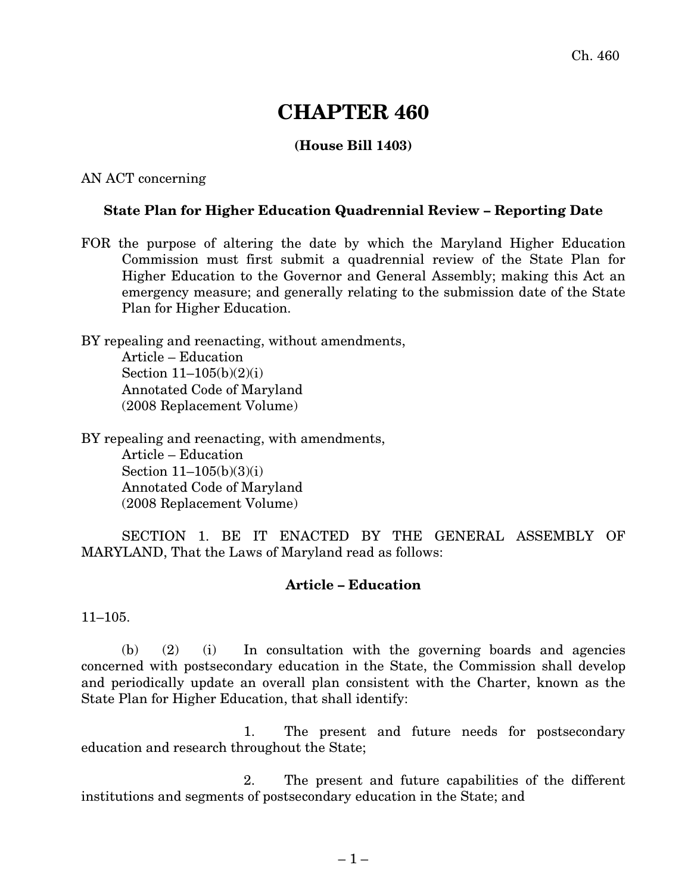## **CHAPTER 460**

## **(House Bill 1403)**

AN ACT concerning

## **State Plan for Higher Education Quadrennial Review – Reporting Date**

FOR the purpose of altering the date by which the Maryland Higher Education Commission must first submit a quadrennial review of the State Plan for Higher Education to the Governor and General Assembly; making this Act an emergency measure; and generally relating to the submission date of the State Plan for Higher Education.

BY repealing and reenacting, without amendments, Article – Education Section 11–105(b)(2)(i) Annotated Code of Maryland (2008 Replacement Volume)

BY repealing and reenacting, with amendments, Article – Education Section 11–105(b)(3)(i) Annotated Code of Maryland (2008 Replacement Volume)

SECTION 1. BE IT ENACTED BY THE GENERAL ASSEMBLY OF MARYLAND, That the Laws of Maryland read as follows:

## **Article – Education**

11–105.

(b) (2) (i) In consultation with the governing boards and agencies concerned with postsecondary education in the State, the Commission shall develop and periodically update an overall plan consistent with the Charter, known as the State Plan for Higher Education, that shall identify:

1. The present and future needs for postsecondary education and research throughout the State;

2. The present and future capabilities of the different institutions and segments of postsecondary education in the State; and